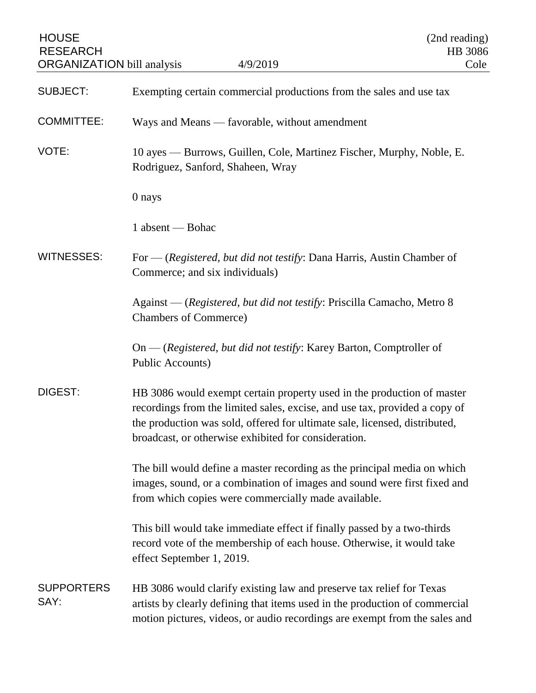| <b>HOUSE</b><br><b>RESEARCH</b><br><b>ORGANIZATION</b> bill analysis | 4/9/2019                                                                                                                                                                                                                                                                                   | (2nd reading)<br>HB 3086<br>Cole |
|----------------------------------------------------------------------|--------------------------------------------------------------------------------------------------------------------------------------------------------------------------------------------------------------------------------------------------------------------------------------------|----------------------------------|
| <b>SUBJECT:</b>                                                      | Exempting certain commercial productions from the sales and use tax                                                                                                                                                                                                                        |                                  |
| <b>COMMITTEE:</b>                                                    | Ways and Means — favorable, without amendment                                                                                                                                                                                                                                              |                                  |
| VOTE:                                                                | 10 ayes — Burrows, Guillen, Cole, Martinez Fischer, Murphy, Noble, E.<br>Rodriguez, Sanford, Shaheen, Wray                                                                                                                                                                                 |                                  |
|                                                                      | 0 nays                                                                                                                                                                                                                                                                                     |                                  |
|                                                                      | 1 absent — Bohac                                                                                                                                                                                                                                                                           |                                  |
| <b>WITNESSES:</b>                                                    | For — (Registered, but did not testify: Dana Harris, Austin Chamber of<br>Commerce; and six individuals)                                                                                                                                                                                   |                                  |
|                                                                      | Against — (Registered, but did not testify: Priscilla Camacho, Metro 8<br><b>Chambers of Commerce)</b>                                                                                                                                                                                     |                                  |
|                                                                      | $On - (registered, but did not testify: Karey Barton, Comptroller of$<br>Public Accounts)                                                                                                                                                                                                  |                                  |
| DIGEST:                                                              | HB 3086 would exempt certain property used in the production of master<br>recordings from the limited sales, excise, and use tax, provided a copy of<br>the production was sold, offered for ultimate sale, licensed, distributed,<br>broadcast, or otherwise exhibited for consideration. |                                  |
|                                                                      | The bill would define a master recording as the principal media on which<br>images, sound, or a combination of images and sound were first fixed and<br>from which copies were commercially made available.                                                                                |                                  |
|                                                                      | This bill would take immediate effect if finally passed by a two-thirds<br>record vote of the membership of each house. Otherwise, it would take<br>effect September 1, 2019.                                                                                                              |                                  |
| <b>SUPPORTERS</b><br>SAY:                                            | HB 3086 would clarify existing law and preserve tax relief for Texas<br>artists by clearly defining that items used in the production of commercial<br>motion pictures, videos, or audio recordings are exempt from the sales and                                                          |                                  |